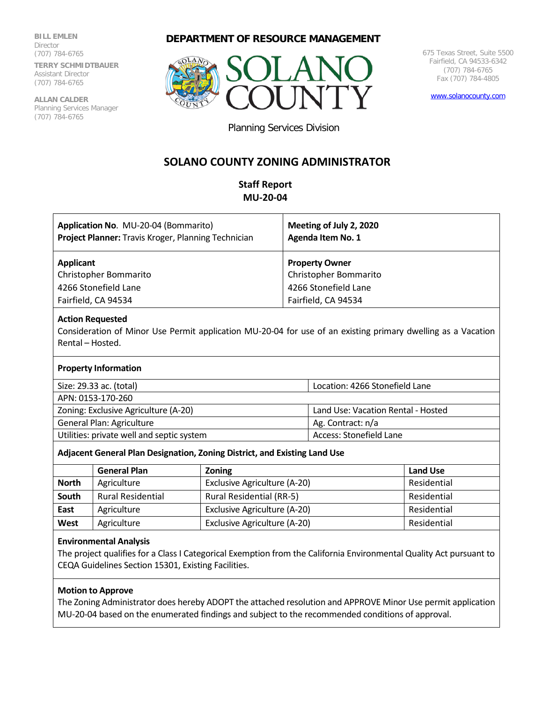**BILL EMLEN Director** (707) 784-6765 **TERRY SCHMIDTBAUER** Assistant Director (707) 784-6765

**ALLAN CALDER** Planning Services Manager (707) 784-6765

# **DEPARTMENT OF RESOURCE MANAGEMENT**



675 Texas Street, Suite 5500 Fairfield, CA 94533-6342 (707) 784-6765 Fax (707) 784-4805

[www.solanocounty.com](http://www.solanocounty.com/)

Planning Services Division

# **SOLANO COUNTY ZONING ADMINISTRATOR**

# **Staff Report MU-20-04**

| Application No. MU-20-04 (Bommarito)<br>Project Planner: Travis Kroger, Planning Technician | Meeting of July 2, 2020<br>Agenda Item No. 1 |
|---------------------------------------------------------------------------------------------|----------------------------------------------|
| Applicant                                                                                   | <b>Property Owner</b>                        |
| Christopher Bommarito                                                                       | Christopher Bommarito                        |
| 4266 Stonefield Lane                                                                        | 4266 Stonefield Lane                         |
| Fairfield, CA 94534                                                                         | Fairfield, CA 94534                          |
| <b>Action Requested</b>                                                                     |                                              |

Consideration of Minor Use Permit application MU-20-04 for use of an existing primary dwelling as a Vacation Rental – Hosted.

#### **Property Information**

Size: 29.33 ac. (total) Location: 4266 Stonefield Lane

APN: 0153-170-260

Zoning: Exclusive Agriculture (A-20) Land Use: Vacation Rental - Hosted

General Plan: Agriculture Ag. Contract: n/a

Utilities: private well and septic system Access: Stonefield Lane

#### **Adjacent General Plan Designation, Zoning District, and Existing Land Use**

|              | <b>General Plan</b>      | <b>Zoning</b>                   | <b>Land Use</b> |
|--------------|--------------------------|---------------------------------|-----------------|
| <b>North</b> | Agriculture              | Exclusive Agriculture (A-20)    | Residential     |
| South        | <b>Rural Residential</b> | <b>Rural Residential (RR-5)</b> | Residential     |
| East         | Agriculture              | Exclusive Agriculture (A-20)    | Residential     |
| West         | Agriculture              | Exclusive Agriculture (A-20)    | Residential     |

# **Environmental Analysis**

The project qualifies for a Class I Categorical Exemption from the California Environmental Quality Act pursuant to CEQA Guidelines Section 15301, Existing Facilities.

# **Motion to Approve**

The Zoning Administrator does hereby ADOPT the attached resolution and APPROVE Minor Use permit application MU-20-04 based on the enumerated findings and subject to the recommended conditions of approval.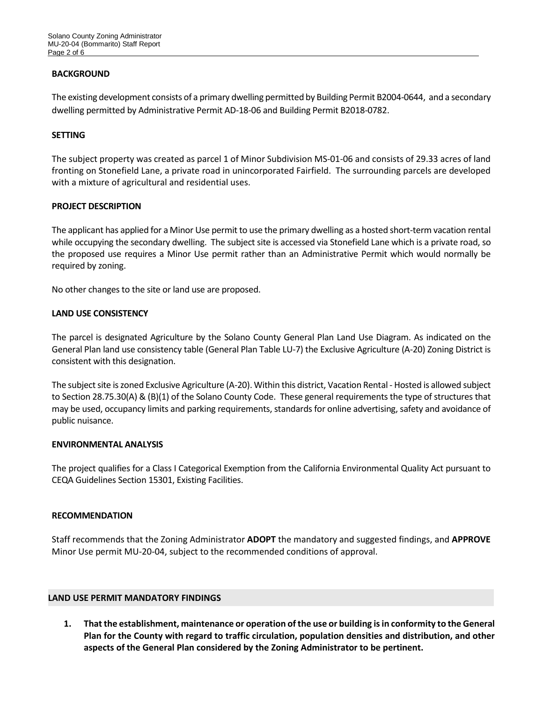## **BACKGROUND**

The existing development consists of a primary dwelling permitted by Building Permit B2004-0644, and a secondary dwelling permitted by Administrative Permit AD-18-06 and Building Permit B2018-0782.

## **SETTING**

The subject property was created as parcel 1 of Minor Subdivision MS-01-06 and consists of 29.33 acres of land fronting on Stonefield Lane, a private road in unincorporated Fairfield. The surrounding parcels are developed with a mixture of agricultural and residential uses.

## **PROJECT DESCRIPTION**

The applicant has applied for a Minor Use permit to use the primary dwelling as a hosted short-term vacation rental while occupying the secondary dwelling. The subject site is accessed via Stonefield Lane which is a private road, so the proposed use requires a Minor Use permit rather than an Administrative Permit which would normally be required by zoning.

No other changes to the site or land use are proposed.

## **LAND USE CONSISTENCY**

The parcel is designated Agriculture by the Solano County General Plan Land Use Diagram. As indicated on the General Plan land use consistency table (General Plan Table LU-7) the Exclusive Agriculture (A-20) Zoning District is consistent with this designation.

The subject site is zoned Exclusive Agriculture (A-20). Within this district, Vacation Rental - Hosted is allowed subject to Section 28.75.30(A) & (B)(1) of the Solano County Code. These general requirements the type of structures that may be used, occupancy limits and parking requirements, standards for online advertising, safety and avoidance of public nuisance.

#### **ENVIRONMENTAL ANALYSIS**

The project qualifies for a Class I Categorical Exemption from the California Environmental Quality Act pursuant to CEQA Guidelines Section 15301, Existing Facilities.

#### **RECOMMENDATION**

Staff recommends that the Zoning Administrator **ADOPT** the mandatory and suggested findings, and **APPROVE** Minor Use permit MU-20-04, subject to the recommended conditions of approval.

#### **LAND USE PERMIT MANDATORY FINDINGS**

**1. That the establishment, maintenance or operation of the use or building is in conformity to the General Plan for the County with regard to traffic circulation, population densities and distribution, and other aspects of the General Plan considered by the Zoning Administrator to be pertinent.**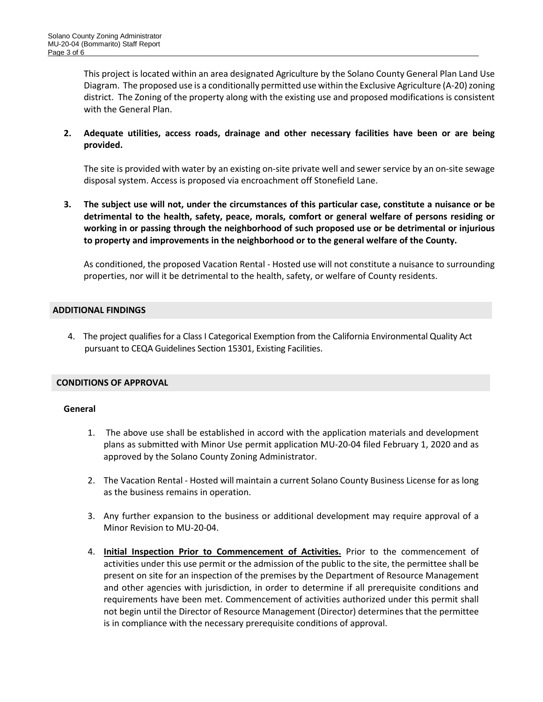This project is located within an area designated Agriculture by the Solano County General Plan Land Use Diagram. The proposed use is a conditionally permitted use within the Exclusive Agriculture (A-20) zoning district. The Zoning of the property along with the existing use and proposed modifications is consistent with the General Plan.

# **2. Adequate utilities, access roads, drainage and other necessary facilities have been or are being provided.**

The site is provided with water by an existing on-site private well and sewer service by an on-site sewage disposal system. Access is proposed via encroachment off Stonefield Lane.

**3. The subject use will not, under the circumstances of this particular case, constitute a nuisance or be detrimental to the health, safety, peace, morals, comfort or general welfare of persons residing or working in or passing through the neighborhood of such proposed use or be detrimental or injurious to property and improvements in the neighborhood or to the general welfare of the County.**

As conditioned, the proposed Vacation Rental - Hosted use will not constitute a nuisance to surrounding properties, nor will it be detrimental to the health, safety, or welfare of County residents.

## **ADDITIONAL FINDINGS**

4. The project qualifies for a Class I Categorical Exemption from the California Environmental Quality Act pursuant to CEQA Guidelines Section 15301, Existing Facilities.

# **CONDITIONS OF APPROVAL**

#### **General**

- 1. The above use shall be established in accord with the application materials and development plans as submitted with Minor Use permit application MU-20-04 filed February 1, 2020 and as approved by the Solano County Zoning Administrator.
- 2. The Vacation Rental Hosted will maintain a current Solano County Business License for as long as the business remains in operation.
- 3. Any further expansion to the business or additional development may require approval of a Minor Revision to MU-20-04.
- 4. **Initial Inspection Prior to Commencement of Activities.** Prior to the commencement of activities under this use permit or the admission of the public to the site, the permittee shall be present on site for an inspection of the premises by the Department of Resource Management and other agencies with jurisdiction, in order to determine if all prerequisite conditions and requirements have been met. Commencement of activities authorized under this permit shall not begin until the Director of Resource Management (Director) determines that the permittee is in compliance with the necessary prerequisite conditions of approval.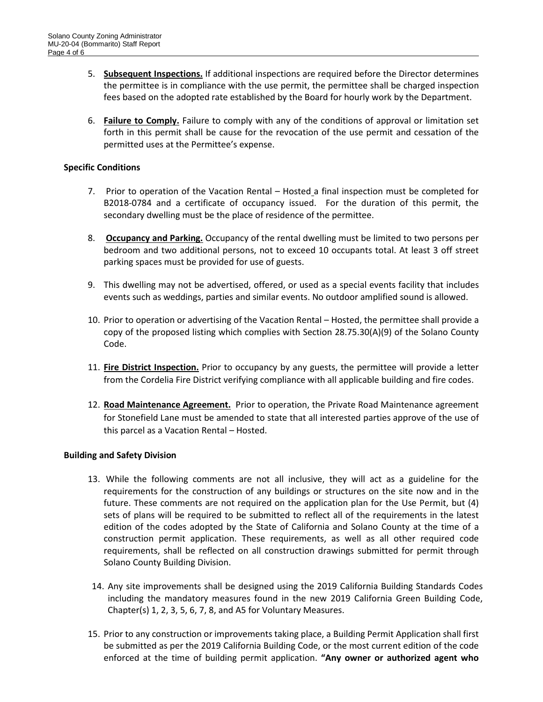- 5. **Subsequent Inspections.** If additional inspections are required before the Director determines the permittee is in compliance with the use permit, the permittee shall be charged inspection fees based on the adopted rate established by the Board for hourly work by the Department.
- 6. **Failure to Comply.** Failure to comply with any of the conditions of approval or limitation set forth in this permit shall be cause for the revocation of the use permit and cessation of the permitted uses at the Permittee's expense.

# **Specific Conditions**

- 7. Prior to operation of the Vacation Rental Hosted a final inspection must be completed for B2018-0784 and a certificate of occupancy issued. For the duration of this permit, the secondary dwelling must be the place of residence of the permittee.
- 8. **Occupancy and Parking.** Occupancy of the rental dwelling must be limited to two persons per bedroom and two additional persons, not to exceed 10 occupants total. At least 3 off street parking spaces must be provided for use of guests.
- 9. This dwelling may not be advertised, offered, or used as a special events facility that includes events such as weddings, parties and similar events. No outdoor amplified sound is allowed.
- 10. Prior to operation or advertising of the Vacation Rental Hosted, the permittee shall provide a copy of the proposed listing which complies with Section 28.75.30(A)(9) of the Solano County Code.
- 11. **Fire District Inspection.** Prior to occupancy by any guests, the permittee will provide a letter from the Cordelia Fire District verifying compliance with all applicable building and fire codes.
- 12. **Road Maintenance Agreement.** Prior to operation, the Private Road Maintenance agreement for Stonefield Lane must be amended to state that all interested parties approve of the use of this parcel as a Vacation Rental – Hosted.

#### **Building and Safety Division**

- 13. While the following comments are not all inclusive, they will act as a guideline for the requirements for the construction of any buildings or structures on the site now and in the future. These comments are not required on the application plan for the Use Permit, but (4) sets of plans will be required to be submitted to reflect all of the requirements in the latest edition of the codes adopted by the State of California and Solano County at the time of a construction permit application. These requirements, as well as all other required code requirements, shall be reflected on all construction drawings submitted for permit through Solano County Building Division.
- 14. Any site improvements shall be designed using the 2019 California Building Standards Codes including the mandatory measures found in the new 2019 California Green Building Code, Chapter(s) 1, 2, 3, 5, 6, 7, 8, and A5 for Voluntary Measures.
- 15. Prior to any construction or improvements taking place, a Building Permit Application shall first be submitted as per the 2019 California Building Code, or the most current edition of the code enforced at the time of building permit application. **"Any owner or authorized agent who**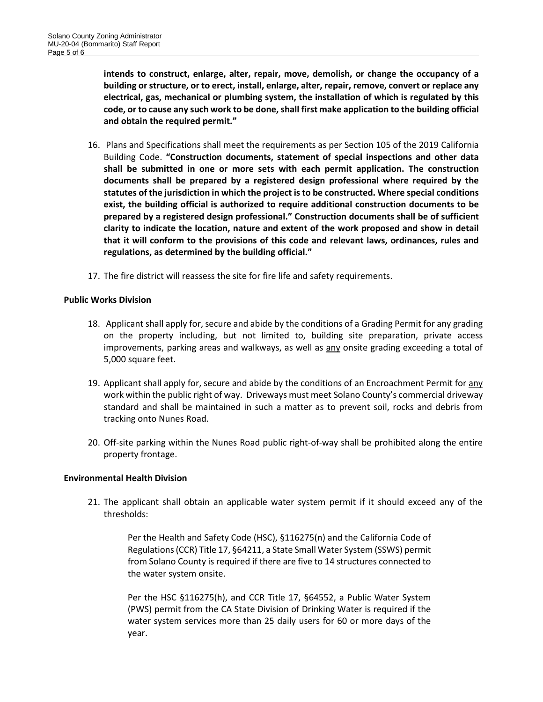**intends to construct, enlarge, alter, repair, move, demolish, or change the occupancy of a building or structure, or to erect, install, enlarge, alter, repair, remove, convert or replace any electrical, gas, mechanical or plumbing system, the installation of which is regulated by this code, or to cause any such work to be done, shall first make application to the building official and obtain the required permit."** 

- 16. Plans and Specifications shall meet the requirements as per Section 105 of the 2019 California Building Code. **"Construction documents, statement of special inspections and other data shall be submitted in one or more sets with each permit application. The construction documents shall be prepared by a registered design professional where required by the statutes of the jurisdiction in which the project is to be constructed. Where special conditions exist, the building official is authorized to require additional construction documents to be prepared by a registered design professional." Construction documents shall be of sufficient clarity to indicate the location, nature and extent of the work proposed and show in detail that it will conform to the provisions of this code and relevant laws, ordinances, rules and regulations, as determined by the building official."**
- 17. The fire district will reassess the site for fire life and safety requirements.

## **Public Works Division**

- 18. Applicant shall apply for, secure and abide by the conditions of a Grading Permit for any grading on the property including, but not limited to, building site preparation, private access improvements, parking areas and walkways, as well as any onsite grading exceeding a total of 5,000 square feet.
- 19. Applicant shall apply for, secure and abide by the conditions of an Encroachment Permit for <u>any</u> work within the public right of way. Driveways must meet Solano County's commercial driveway standard and shall be maintained in such a matter as to prevent soil, rocks and debris from tracking onto Nunes Road.
- 20. Off-site parking within the Nunes Road public right-of-way shall be prohibited along the entire property frontage.

#### **Environmental Health Division**

21. The applicant shall obtain an applicable water system permit if it should exceed any of the thresholds:

> Per the Health and Safety Code (HSC), §116275(n) and the California Code of Regulations (CCR) Title 17, §64211, a State Small Water System (SSWS) permit from Solano County is required if there are five to 14 structures connected to the water system onsite.

> Per the HSC §116275(h), and CCR Title 17, §64552, a Public Water System (PWS) permit from the CA State Division of Drinking Water is required if the water system services more than 25 daily users for 60 or more days of the year.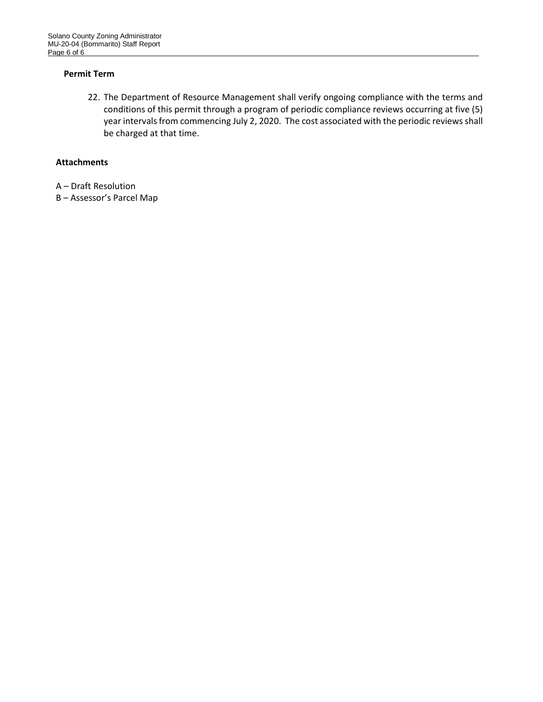# **Permit Term**

22. The Department of Resource Management shall verify ongoing compliance with the terms and conditions of this permit through a program of periodic compliance reviews occurring at five (5) year intervals from commencing July 2, 2020. The cost associated with the periodic reviews shall be charged at that time.

## **Attachments**

- A Draft Resolution
- B Assessor's Parcel Map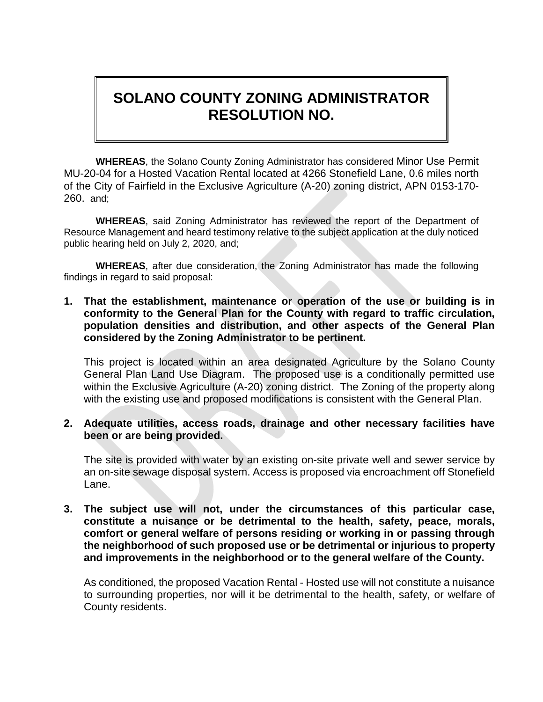# **SOLANO COUNTY ZONING ADMINISTRATOR RESOLUTION NO.**

**WHEREAS**, the Solano County Zoning Administrator has considered Minor Use Permit MU-20-04 for a Hosted Vacation Rental located at 4266 Stonefield Lane, 0.6 miles north of the City of Fairfield in the Exclusive Agriculture (A-20) zoning district, APN 0153-170- 260. and;

**WHEREAS**, said Zoning Administrator has reviewed the report of the Department of Resource Management and heard testimony relative to the subject application at the duly noticed public hearing held on July 2, 2020, and;

**WHEREAS**, after due consideration, the Zoning Administrator has made the following findings in regard to said proposal:

**1. That the establishment, maintenance or operation of the use or building is in conformity to the General Plan for the County with regard to traffic circulation, population densities and distribution, and other aspects of the General Plan considered by the Zoning Administrator to be pertinent.**

This project is located within an area designated Agriculture by the Solano County General Plan Land Use Diagram. The proposed use is a conditionally permitted use within the Exclusive Agriculture (A-20) zoning district. The Zoning of the property along with the existing use and proposed modifications is consistent with the General Plan.

# **2. Adequate utilities, access roads, drainage and other necessary facilities have been or are being provided.**

The site is provided with water by an existing on-site private well and sewer service by an on-site sewage disposal system. Access is proposed via encroachment off Stonefield Lane.

**3. The subject use will not, under the circumstances of this particular case, constitute a nuisance or be detrimental to the health, safety, peace, morals, comfort or general welfare of persons residing or working in or passing through the neighborhood of such proposed use or be detrimental or injurious to property and improvements in the neighborhood or to the general welfare of the County.**

As conditioned, the proposed Vacation Rental - Hosted use will not constitute a nuisance to surrounding properties, nor will it be detrimental to the health, safety, or welfare of County residents.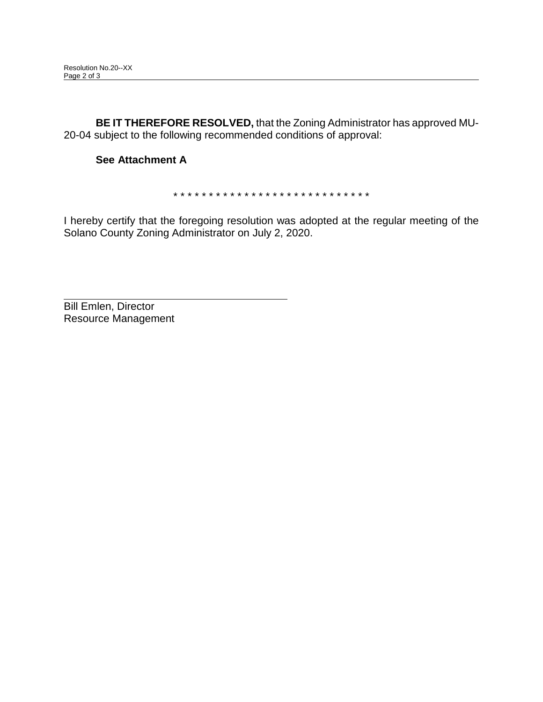**BE IT THEREFORE RESOLVED,** that the Zoning Administrator has approved MU-20-04 subject to the following recommended conditions of approval:

# **See Attachment A**

\* \* \* \* \* \* \* \* \* \* \* \* \* \* \* \* \* \* \* \* \* \* \* \* \* \* \* \*

I hereby certify that the foregoing resolution was adopted at the regular meeting of the Solano County Zoning Administrator on July 2, 2020.

Bill Emlen, Director Resource Management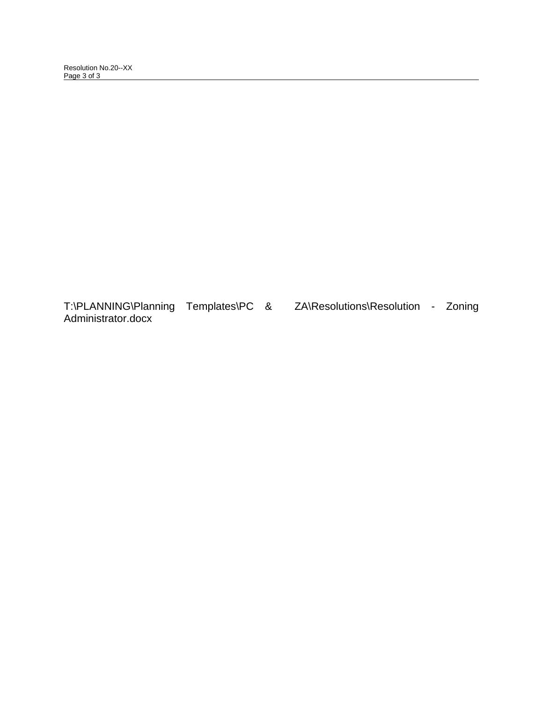Resolution No.20--XX Page 3 of 3

T:\PLANNING\Planning Templates\PC & ZA\Resolutions\Resolution - Zoning Administrator.docx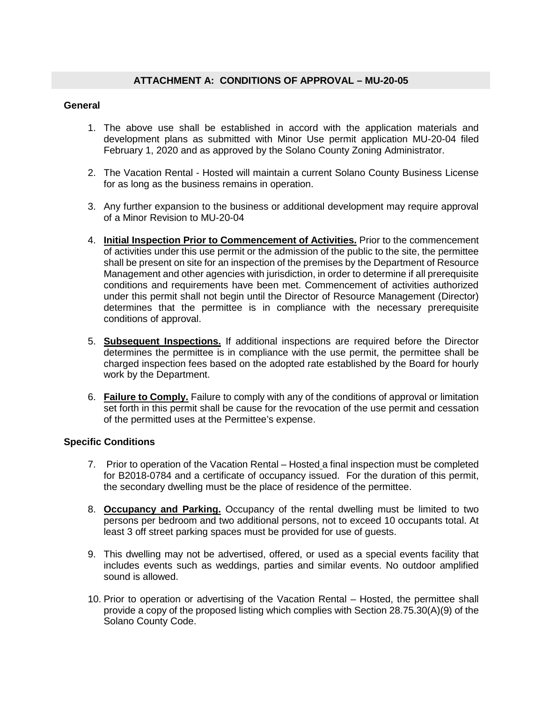# **General**

- 1. The above use shall be established in accord with the application materials and development plans as submitted with Minor Use permit application MU-20-04 filed February 1, 2020 and as approved by the Solano County Zoning Administrator.
- 2. The Vacation Rental Hosted will maintain a current Solano County Business License for as long as the business remains in operation.
- 3. Any further expansion to the business or additional development may require approval of a Minor Revision to MU-20-04
- 4. **Initial Inspection Prior to Commencement of Activities.** Prior to the commencement of activities under this use permit or the admission of the public to the site, the permittee shall be present on site for an inspection of the premises by the Department of Resource Management and other agencies with jurisdiction, in order to determine if all prerequisite conditions and requirements have been met. Commencement of activities authorized under this permit shall not begin until the Director of Resource Management (Director) determines that the permittee is in compliance with the necessary prerequisite conditions of approval.
- 5. **Subsequent Inspections.** If additional inspections are required before the Director determines the permittee is in compliance with the use permit, the permittee shall be charged inspection fees based on the adopted rate established by the Board for hourly work by the Department.
- 6. **Failure to Comply.** Failure to comply with any of the conditions of approval or limitation set forth in this permit shall be cause for the revocation of the use permit and cessation of the permitted uses at the Permittee's expense.

# **Specific Conditions**

- 7. Prior to operation of the Vacation Rental Hosted a final inspection must be completed for B2018-0784 and a certificate of occupancy issued. For the duration of this permit, the secondary dwelling must be the place of residence of the permittee.
- 8. **Occupancy and Parking.** Occupancy of the rental dwelling must be limited to two persons per bedroom and two additional persons, not to exceed 10 occupants total. At least 3 off street parking spaces must be provided for use of guests.
- 9. This dwelling may not be advertised, offered, or used as a special events facility that includes events such as weddings, parties and similar events. No outdoor amplified sound is allowed.
- 10. Prior to operation or advertising of the Vacation Rental Hosted, the permittee shall provide a copy of the proposed listing which complies with Section 28.75.30(A)(9) of the Solano County Code.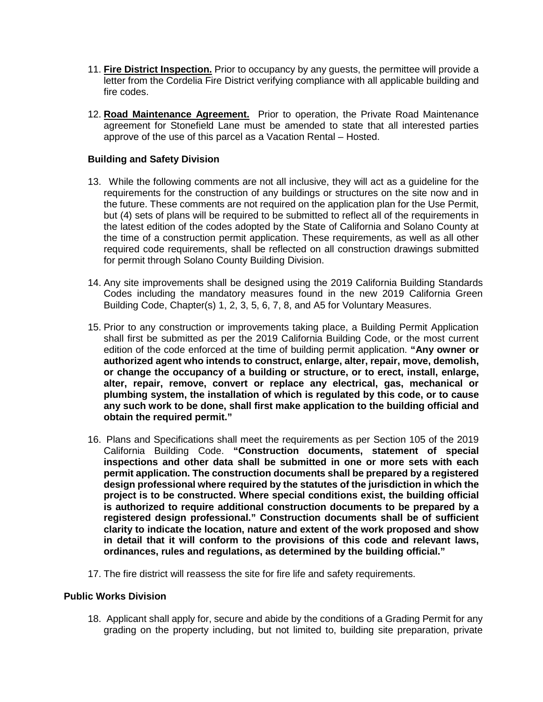- 11. **Fire District Inspection.** Prior to occupancy by any guests, the permittee will provide a letter from the Cordelia Fire District verifying compliance with all applicable building and fire codes.
- 12. **Road Maintenance Agreement.** Prior to operation, the Private Road Maintenance agreement for Stonefield Lane must be amended to state that all interested parties approve of the use of this parcel as a Vacation Rental – Hosted.

# **Building and Safety Division**

- 13.While the following comments are not all inclusive, they will act as a guideline for the requirements for the construction of any buildings or structures on the site now and in the future. These comments are not required on the application plan for the Use Permit, but (4) sets of plans will be required to be submitted to reflect all of the requirements in the latest edition of the codes adopted by the State of California and Solano County at the time of a construction permit application. These requirements, as well as all other required code requirements, shall be reflected on all construction drawings submitted for permit through Solano County Building Division.
- 14. Any site improvements shall be designed using the 2019 California Building Standards Codes including the mandatory measures found in the new 2019 California Green Building Code, Chapter(s) 1, 2, 3, 5, 6, 7, 8, and A5 for Voluntary Measures.
- 15. Prior to any construction or improvements taking place, a Building Permit Application shall first be submitted as per the 2019 California Building Code, or the most current edition of the code enforced at the time of building permit application. **"Any owner or authorized agent who intends to construct, enlarge, alter, repair, move, demolish, or change the occupancy of a building or structure, or to erect, install, enlarge, alter, repair, remove, convert or replace any electrical, gas, mechanical or plumbing system, the installation of which is regulated by this code, or to cause any such work to be done, shall first make application to the building official and obtain the required permit."**
- 16. Plans and Specifications shall meet the requirements as per Section 105 of the 2019 California Building Code. **"Construction documents, statement of special inspections and other data shall be submitted in one or more sets with each permit application. The construction documents shall be prepared by a registered design professional where required by the statutes of the jurisdiction in which the project is to be constructed. Where special conditions exist, the building official is authorized to require additional construction documents to be prepared by a registered design professional." Construction documents shall be of sufficient clarity to indicate the location, nature and extent of the work proposed and show in detail that it will conform to the provisions of this code and relevant laws, ordinances, rules and regulations, as determined by the building official."**
- 17. The fire district will reassess the site for fire life and safety requirements.

# **Public Works Division**

18. Applicant shall apply for, secure and abide by the conditions of a Grading Permit for any grading on the property including, but not limited to, building site preparation, private